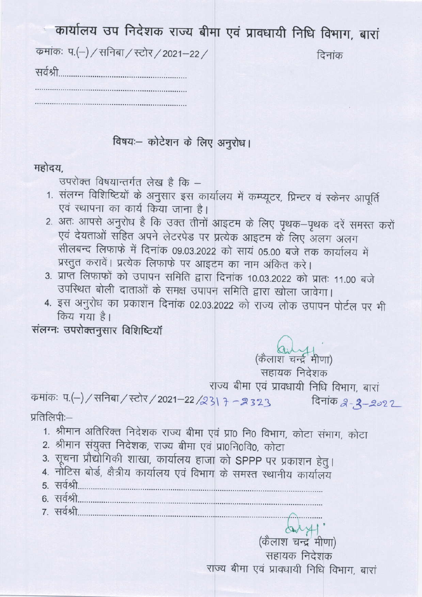| कार्यालय उप निदेशक राज्य बीमा एवं प्रावधायी निधि विभाग, बारां |        |
|---------------------------------------------------------------|--------|
| कमांकः प.(-) / सनिबा / स्टोर / 2021–22 /                      | दिनांक |
| सर्वश्री                                                      |        |
|                                                               |        |

विषयः- कोटेशन के लिए अनुरोध।

### महोदय

उपरोक्त विषयान्तर्गत लेख है कि -

- 1. संलग्न विशिष्टियों के अनुसार इस कार्यालय में कम्प्यूटर, प्रिन्टर वं स्केनर आपूर्ति एवं स्थापना का कार्य किया जाना है।
- 2. अतः आपसे अनुरोध है कि उक्त तीनों आइटम के लिए पृथक-पृथक दरें समस्त करों एवं देयताओं सहित अपने लेटरपेड पर प्रत्येक आइटम के लिए अलग अलग सीलबन्द लिफाफे में दिनांक 09.03.2022 को सायं 05.00 बजे तक कार्यालय में प्रस्तुत करावें। प्रत्येक लिफाफे पर आइटम का नाम अंकित करे।
- 3. प्राप्त लिफाफों को उपापन समिति द्वारा दिनांक 10.03.2022 को प्रातः 11.00 बजे उपस्थित बोली दाताओं के समक्ष उपापन समिति द्वारा खोला जावेगा।
- 4. इस अनुरोध का प्रकाशन दिनांक 02.03.2022 को राज्य लोक उपापन पोर्टल पर भी किय गया है।

संलग्नः उपरोक्तनुसार विशिष्टियाँ

(कैलाश चन्द्र मीणा)

सहायक निदेशक

राज्य बीमा एवं प्रावधायी निधि विभाग, बारां

कमांकः प.(-) / सनिबा / स्टोर / 2021-22 /231 7 - 2323 दिनांक 2-2-2022 प्रतिलिपी:-

- 1. श्रीमान अतिरिक्त निदेशक राज्य बीमा एवं प्रा0 नि0 विभाग, कोटा संभाग, कोटा
- 2. श्रीमान संयुक्त निदेशक, राज्य बीमा एवं प्रा0नि0वि0, कोटा
- 3. सूचना प्रौद्योगिकी शाखा, कार्यालय हाजा को SPPP पर प्रकाशन हेतु।
- 4. नोटिस बोर्ड, क्षैत्रीय कार्यालय एवं विभाग के समस्त स्थानीय कार्यालय
- 5. सर्वश्री 6. सर्वश्री
- 7. सर्वश्री

(कैलाश चन्द्र मीणा) सहायक निदेशक राज्य बीमा एवं प्रावधायी निधि विभाग, बारां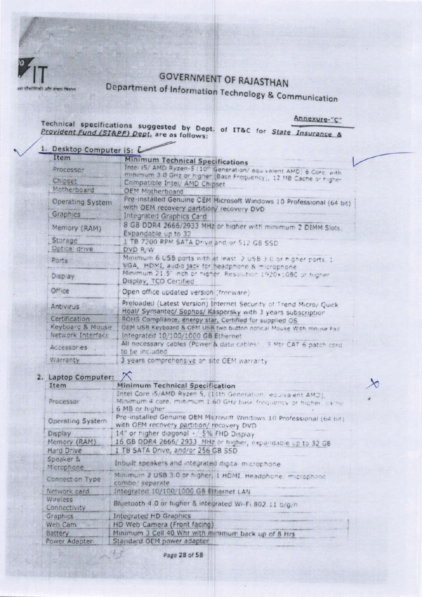

# **GOVERNMENT OF RAJASTHAN**

Department of Information Technology & Communication

Annexure-"C"

Technical specifications suggested by Dept. of IT&C for State Insurance &<br>Provident Fund (SI&PF) Dept. are as follows:

| Desktop Computer i5: L<br>Item                          |                                                                                                                                           |
|---------------------------------------------------------|-------------------------------------------------------------------------------------------------------------------------------------------|
|                                                         | <b>Minimum Technical Specifications</b>                                                                                                   |
| Processor                                               | Intel iS/ AMD Ryzen-5 (10th Generation/ equivalent AMD) 6 Core, with<br>minimum 3.0 GHz or higher (Base Frequency), 12 MB Cache or higher |
| Ch pset<br>Compatible Intel/ AMD Chipset                |                                                                                                                                           |
| Motherboard<br><b>OEM Motherboard</b>                   |                                                                                                                                           |
| Operating System                                        | Pre-installed Genuine CEM Microsoft Windows 10 Professional (64 bit)<br>with OEM recovery partition/ recovery DVD                         |
| Graphics<br>Integrated Graphics Card                    |                                                                                                                                           |
| Memory (RAM)<br>Expandable up to 32                     | 8 GB DDR4 2666/2933 MHz or higher with minimum 2 DIMM Slots.                                                                              |
| Storage                                                 | I TB 7200 RPM SATA Drive and, or 512 GB SSD                                                                                               |
| Optical drive<br>DVD R/W                                |                                                                                                                                           |
| Ports                                                   | Minimum 6 USB ports with at least. 2 USB 3 0 or higher ports, 1.<br>VGA, HDMI, audio jack for headphone & microphone                      |
| Display<br>Display, TCO Certified                       | Minimum 21.5" inch or nigher. Resolution 1920x1080 or higher                                                                              |
| Office<br>Open office updated version (freeware)        |                                                                                                                                           |
| Antivirus                                               | Preloaded (Latest Version) Internet Security of Trend Micro/ Quick<br>Heal/ Symantec/ Sophos/ Kaspersky with 3 years subscription         |
| Certification                                           | ROHS Compliance, energy star, Certified for supplied OS                                                                                   |
| Keyboard & Mouse                                        | OEM USB Keyboard & OEM USB two button optical Mouse With mouse Pad                                                                        |
| Network Interface<br>Integrated 10/100/1000 GB Ethernet |                                                                                                                                           |
| Accessories .<br>to be included.                        | All necessary cables (Power & data cables) 3 Mtr CAT 6 patch cord                                                                         |
| Warranty                                                | 3 years comprehensive on site OEM warranty                                                                                                |

### 2. Laptop Computer: X

| Minimum Technical Specification                                                                                                                      |
|------------------------------------------------------------------------------------------------------------------------------------------------------|
| Intel Core (5/AMD Ryzen S, (1)1th Generation, equivalent AMD),<br>Minimum 4 core, minimum 1.60 GHz base frequency or higher, carne<br>6 MB or higher |
| Pre-installed Genuine OEM Microsoft Windows 10 Professional (64 bit)<br>with OEM recovery partition/ recovery DVD                                    |
| 14" or higher diagonal +/ 5% FHD Display                                                                                                             |
| 16 GB DDR4 2666/ 2933 MHz or higher, expandable up to 32 GB                                                                                          |
| 1 TB SATA Drive, and/or 256 GB SSD                                                                                                                   |
| Inbuilt speakers and integrated digital microphone                                                                                                   |
| Minimum 2 USB 3.0 or higher, 1 HDMI, Headphone, microphone<br>combo/ separate                                                                        |
| Integrated 10/100/1000 GB Ethernet LAN                                                                                                               |
| Bluetooth 4.0 or higher & integrated Wi-Fi 802.11 b/g/n                                                                                              |
| Integrated HD Graphics                                                                                                                               |
| HD Web Camera (Front facing)                                                                                                                         |
| Minimum 3 Cell 40 Whr with minimum back up of 8 Hrs                                                                                                  |
| Standard OEM power adapter                                                                                                                           |
|                                                                                                                                                      |

Page 28 of 58